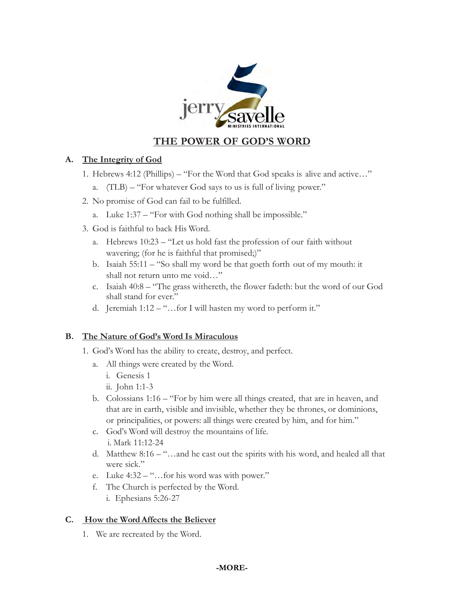

# **THE POWER OF GOD'S WORD**

### **A. The Integrity of God**

- 1. Hebrews 4:12 (Phillips) "For the Word that God speaks is alive and active…"
	- a. (TLB) "For whatever God says to us is full of living power."
- 2. No promise of God can fail to be fulfilled.
	- a. Luke 1:37 "For with God nothing shall be impossible."
- 3. God is faithful to back His Word.
	- a. Hebrews 10:23 "Let us hold fast the profession of our faith without wavering; (for he is faithful that promised;)"
	- b. Isaiah 55:11 "So shall my word be that goeth forth out of my mouth: it shall not return unto me void…"
	- c. Isaiah 40:8 "The grass withereth, the flower fadeth: but the word of our God shall stand for ever."
	- d. Jeremiah 1:12 "…for I will hasten my word to perform it."

#### **B. The Nature of God's Word Is Miraculous**

- 1. God's Word has the ability to create, destroy, and perfect.
	- a. All things were created by the Word.
		- i. Genesis 1
		- ii. John 1:1-3
	- b. Colossians 1:16 "For by him were all things created, that are in heaven, and that are in earth, visible and invisible, whether they be thrones, or dominions, or principalities, or powers: all things were created by him, and for him."
	- c. God's Word will destroy the mountains of life. i. Mark 11:12-24
	- d. Matthew 8:16 "…and he cast out the spirits with his word, and healed all that were sick."
	- e. Luke 4:32 "…for his word was with power."
	- f. The Church is perfected by the Word.
		- i. Ephesians 5:26-27

## **C. How the Word Affects the Believer**

1. We are recreated by the Word.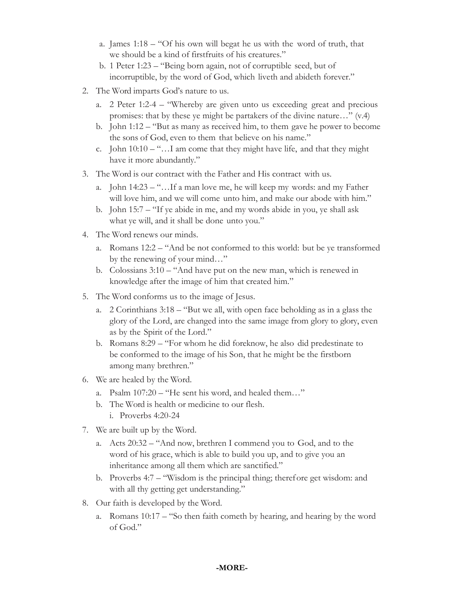- a. James 1:18 "Of his own will begat he us with the word of truth, that we should be a kind of firstfruits of his creatures."
- b. 1 Peter 1:23 "Being born again, not of corruptible seed, but of incorruptible, by the word of God, which liveth and abideth forever."
- 2. The Word imparts God's nature to us.
	- a. 2 Peter 1:2-4 "Whereby are given unto us exceeding great and precious promises: that by these ye might be partakers of the divine nature…" (v.4)
	- b. John 1:12 "But as many as received him, to them gave he power to become the sons of God, even to them that believe on his name."
	- c. John  $10:10 -$ "...I am come that they might have life, and that they might have it more abundantly."
- 3. The Word is our contract with the Father and His contract with us.
	- a. John 14:23 "…If a man love me, he will keep my words: and my Father will love him, and we will come unto him, and make our abode with him."
	- b. John 15:7 "If ye abide in me, and my words abide in you, ye shall ask what ye will, and it shall be done unto you."
- 4. The Word renews our minds.
	- a. Romans 12:2 "And be not conformed to this world: but be ye transformed by the renewing of your mind…"
	- b. Colossians 3:10 "And have put on the new man, which is renewed in knowledge after the image of him that created him."
- 5. The Word conforms us to the image of Jesus.
	- a. 2 Corinthians 3:18 "But we all, with open face beholding as in a glass the glory of the Lord, are changed into the same image from glory to glory, even as by the Spirit of the Lord."
	- b. Romans 8:29 "For whom he did foreknow, he also did predestinate to be conformed to the image of his Son, that he might be the firstborn among many brethren."
- 6. We are healed by the Word.
	- a. Psalm 107:20 "He sent his word, and healed them…"
	- b. The Word is health or medicine to our flesh. i. Proverbs 4:20-24
- 7. We are built up by the Word.
	- a. Acts 20:32 "And now, brethren I commend you to God, and to the word of his grace, which is able to build you up, and to give you an inheritance among all them which are sanctified."
	- b. Proverbs 4:7 "Wisdom is the principal thing; therefore get wisdom: and with all thy getting get understanding."
- 8. Our faith is developed by the Word.
	- a. Romans 10:17 "So then faith cometh by hearing, and hearing by the word of God."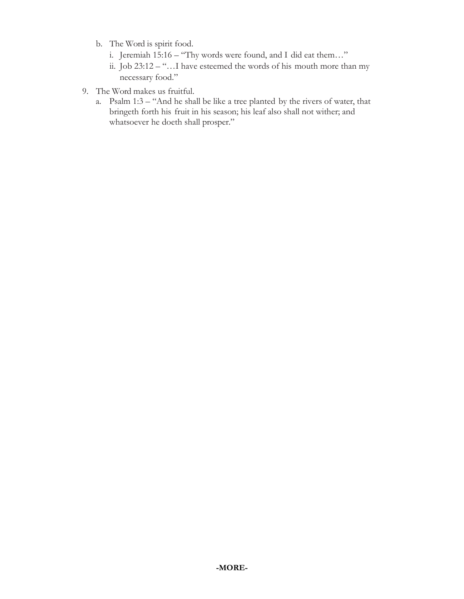- b. The Word is spirit food.
	- i. Jeremiah 15:16 "Thy words were found, and I did eat them…"
	- ii. Job 23:12 "…I have esteemed the words of his mouth more than my necessary food."
- 9. The Word makes us fruitful.
	- a. Psalm 1:3 "And he shall be like a tree planted by the rivers of water, that bringeth forth his fruit in his season; his leaf also shall not wither; and whatsoever he doeth shall prosper."